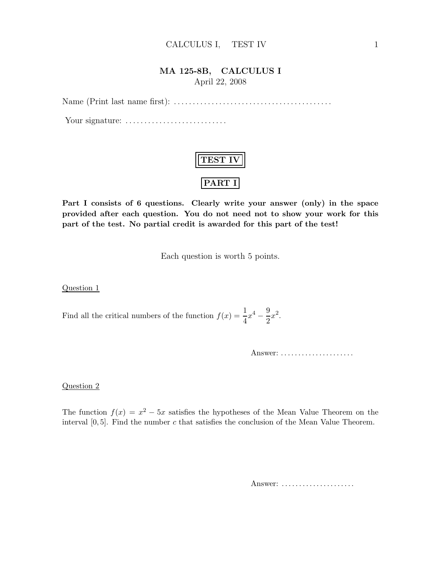## MA 125-8B, CALCULUS I April 22, 2008

Name (Print last name first): . . .. . .. . . . . .. . .. . .. . .. . .. . .. . .. . .. . .. . . . . .

Your signature: . . .. . .. . .. . . . . .. . .. . .. . .. . .



Part I consists of 6 questions. Clearly write your answer (only) in the space provided after each question. You do not need not to show your work for this part of the test. No partial credit is awarded for this part of the test!

Each question is worth 5 points.

Question 1

Find all the critical numbers of the function  $f(x) = \frac{1}{4}x^4$ 9  $rac{9}{2}x^2$ .

Answer: . . . . . . . . . . . . . . . . . . . . .

### Question 2

The function  $f(x) = x^2 - 5x$  satisfies the hypotheses of the Mean Value Theorem on the interval  $[0, 5]$ . Find the number c that satisfies the conclusion of the Mean Value Theorem.

Answer: ......................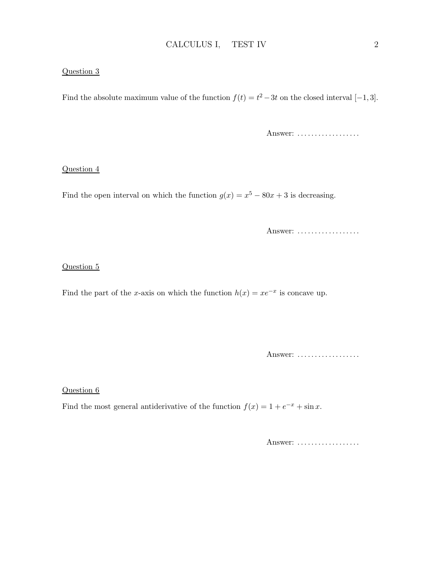### Question 3

Find the absolute maximum value of the function  $f(t) = t^2 - 3t$  on the closed interval [-1,3].

Answer: ..................

### Question 4

Find the open interval on which the function  $g(x) = x^5 - 80x + 3$  is decreasing.

Answer: ..................

## Question 5

Find the part of the x-axis on which the function  $h(x) = xe^{-x}$  is concave up.

Answer: ...................

### Question 6

Find the most general antiderivative of the function  $f(x) = 1 + e^{-x} + \sin x$ .

Answer: ..................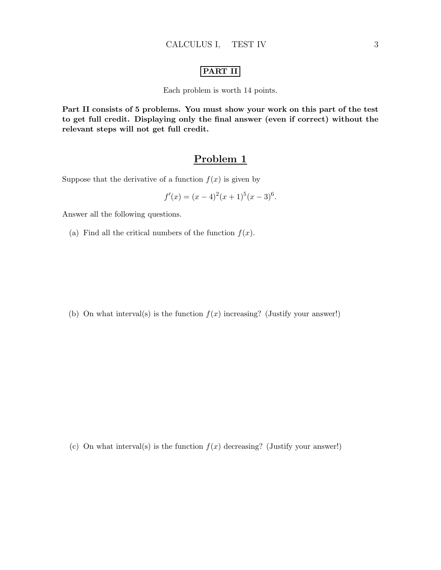## PART II

Each problem is worth 14 points.

Part II consists of 5 problems. You must show your work on this part of the test to get full credit. Displaying only the final answer (even if correct) without the relevant steps will not get full credit.

## Problem 1

Suppose that the derivative of a function  $f(x)$  is given by

$$
f'(x) = (x - 4)^2 (x + 1)^5 (x - 3)^6.
$$

Answer all the following questions.

(a) Find all the critical numbers of the function  $f(x)$ .

(b) On what interval(s) is the function  $f(x)$  increasing? (Justify your answer!)

(c) On what interval(s) is the function  $f(x)$  decreasing? (Justify your answer!)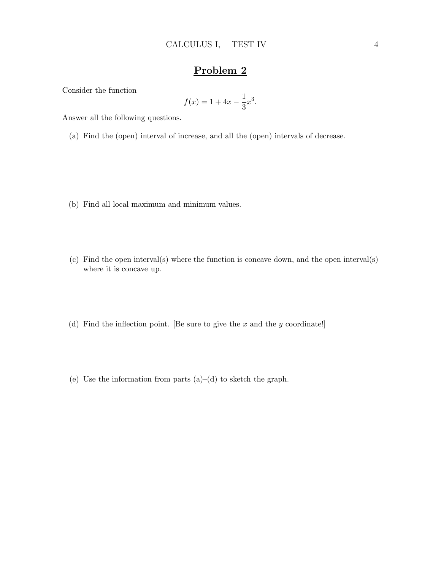Consider the function

$$
f(x) = 1 + 4x - \frac{1}{3}x^3.
$$

Answer all the following questions.

(a) Find the (open) interval of increase, and all the (open) intervals of decrease.

- (b) Find all local maximum and minimum values.
- (c) Find the open interval(s) where the function is concave down, and the open interval(s) where it is concave up.
- (d) Find the inflection point. [Be sure to give the  $x$  and the  $y$  coordinate!]
- (e) Use the information from parts  $(a)$ – $(d)$  to sketch the graph.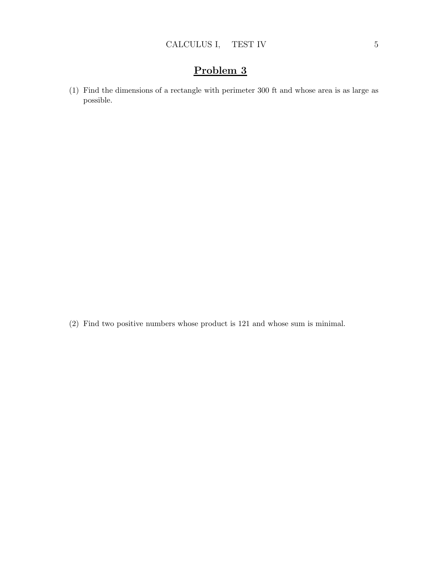(1) Find the dimensions of a rectangle with perimeter 300 ft and whose area is as large as possible.

(2) Find two positive numbers whose product is 121 and whose sum is minimal.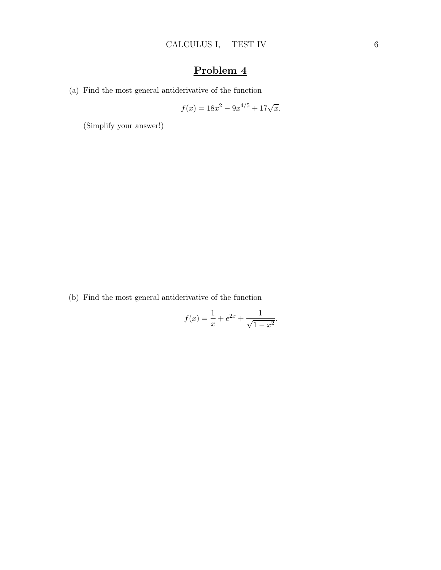(a) Find the most general antiderivative of the function

$$
f(x) = 18x^2 - 9x^{4/5} + 17\sqrt{x}.
$$

(Simplify your answer!)

(b) Find the most general antiderivative of the function

$$
f(x) = \frac{1}{x} + e^{2x} + \frac{1}{\sqrt{1 - x^2}}.
$$